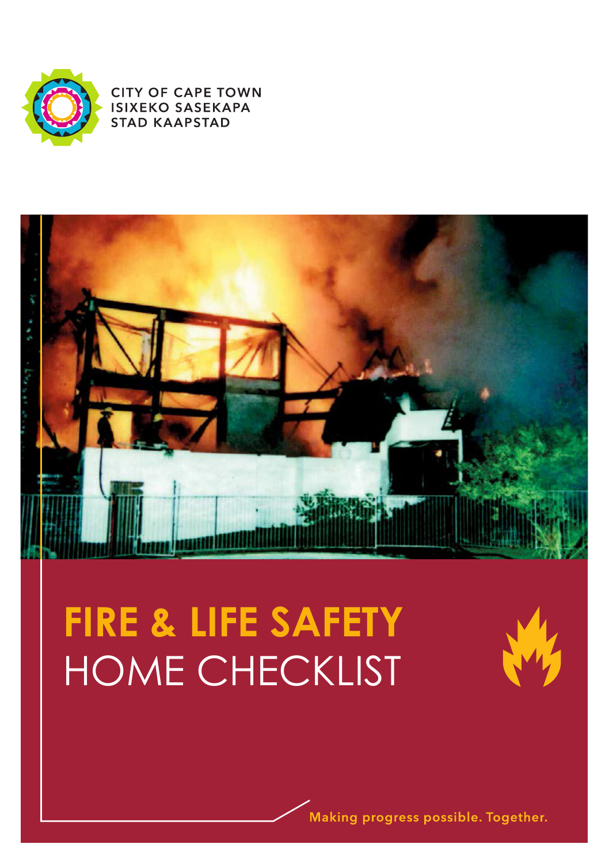

**CITY OF CAPE TOWN ISIXEKO SASEKAPA STAD KAAPSTAD** 



## **FIRE & LIFE SAFETY** HOME CHECKLIST



Making progress possible. Together.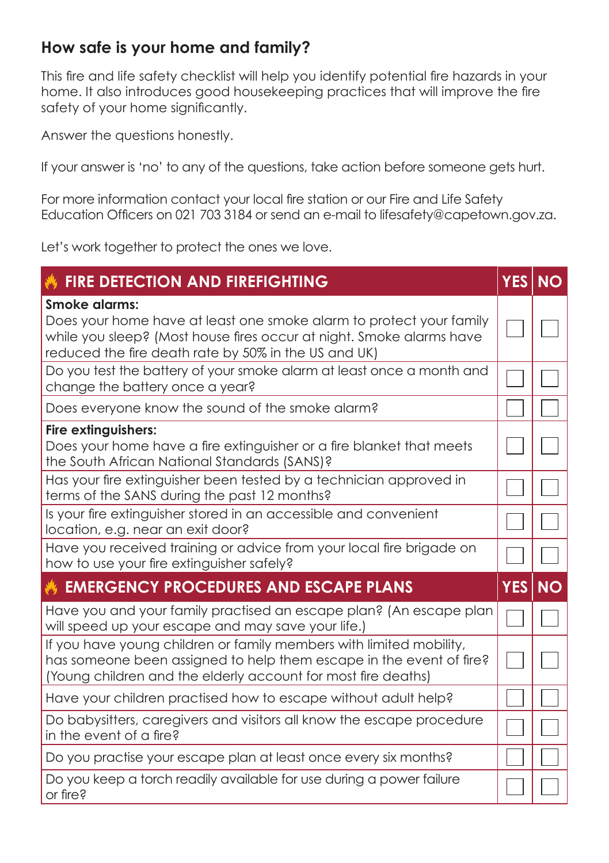## **How safe is your home and family?**

This fire and life safety checklist will help you identify potential fire hazards in your home. It also introduces good housekeeping practices that will improve the fire safety of your home significantly.

Answer the questions honestly.

If your answer is 'no' to any of the questions, take action before someone gets hurt.

For more information contact your local fire station or our Fire and Life Safety Education Officers on 021 703 3184 or send an e-mail to lifesafety@capetown.gov.za.

Let's work together to protect the ones we love.

| <b>FIRE DETECTION AND FIREFIGHTING</b>                                                                                                                                                                               | <b>YES</b> | <b>NO</b>                   |
|----------------------------------------------------------------------------------------------------------------------------------------------------------------------------------------------------------------------|------------|-----------------------------|
| Smoke alarms:<br>Does your home have at least one smoke alarm to protect your family<br>while you sleep? (Most house fires occur at night. Smoke alarms have<br>reduced the fire death rate by 50% in the US and UK) |            |                             |
| Do you test the battery of your smoke alarm at least once a month and<br>change the battery once a year?                                                                                                             |            |                             |
| Does everyone know the sound of the smoke alarm?                                                                                                                                                                     |            |                             |
| Fire extinguishers:<br>Does your home have a fire extinguisher or a fire blanket that meets<br>the South African National Standards (SANS)?                                                                          |            |                             |
| Has your fire extinguisher been tested by a technician approved in<br>terms of the SANS during the past 12 months?                                                                                                   |            |                             |
| Is your fire extinguisher stored in an accessible and convenient<br>location, e.g. near an exit door?                                                                                                                |            |                             |
| Have you received training or advice from your local fire brigade on<br>how to use your fire extinguisher safely?                                                                                                    |            |                             |
| <b>EMERGENCY PROCEDURES AND ESCAPE PLANS</b>                                                                                                                                                                         | <b>YES</b> | $\overline{\phantom{a}}$ NO |
| Have you and your family practised an escape plan? (An escape plan<br>will speed up your escape and may save your life.)                                                                                             |            |                             |
| If you have young children or family members with limited mobility,<br>has someone been assigned to help them escape in the event of fire?<br>(Young children and the elderly account for most fire deaths)          |            |                             |
| Have your children practised how to escape without adult help?                                                                                                                                                       |            |                             |
| Do babysitters, caregivers and visitors all know the escape procedure<br>in the event of a fire?                                                                                                                     |            |                             |
| Do you practise your escape plan at least once every six months?                                                                                                                                                     |            |                             |
| Do you keep a torch readily available for use during a power failure<br>or fire?                                                                                                                                     |            |                             |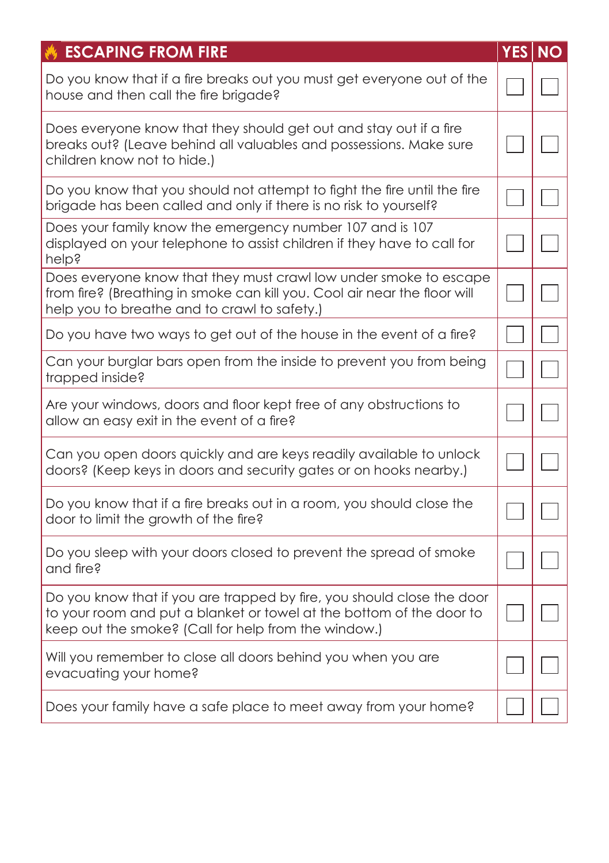| <b>ESCAPING FROM FIRE</b>                                                                                                                                                                              | <b>YES NO</b> |  |
|--------------------------------------------------------------------------------------------------------------------------------------------------------------------------------------------------------|---------------|--|
| Do you know that if a fire breaks out you must get everyone out of the<br>house and then call the fire brigade?                                                                                        |               |  |
| Does everyone know that they should get out and stay out if a fire<br>breaks out? (Leave behind all valuables and possessions. Make sure<br>children know not to hide.)                                |               |  |
| Do you know that you should not attempt to fight the fire until the fire<br>brigade has been called and only if there is no risk to yourself?                                                          |               |  |
| Does your family know the emergency number 107 and is 107<br>displayed on your telephone to assist children if they have to call for<br>help?                                                          |               |  |
| Does everyone know that they must crawl low under smoke to escape<br>from fire? (Breathing in smoke can kill you. Cool air near the floor will<br>help you to breathe and to crawl to safety.)         |               |  |
| Do you have two ways to get out of the house in the event of a fire?                                                                                                                                   |               |  |
| Can your burglar bars open from the inside to prevent you from being<br>trapped inside?                                                                                                                |               |  |
| Are your windows, doors and floor kept free of any obstructions to<br>allow an easy exit in the event of a fire?                                                                                       |               |  |
| Can you open doors quickly and are keys readily available to unlock<br>doors? (Keep keys in doors and security gates or on hooks nearby.)                                                              |               |  |
| Do you know that if a fire breaks out in a room, you should close the<br>door to limit the growth of the fire?                                                                                         |               |  |
| Do you sleep with your doors closed to prevent the spread of smoke<br>and fire?                                                                                                                        |               |  |
| Do you know that if you are trapped by fire, you should close the door<br>to your room and put a blanket or towel at the bottom of the door to<br>keep out the smoke? (Call for help from the window.) |               |  |
| Will you remember to close all doors behind you when you are<br>evacuating your home?                                                                                                                  |               |  |
| Does your family have a safe place to meet away from your home?                                                                                                                                        |               |  |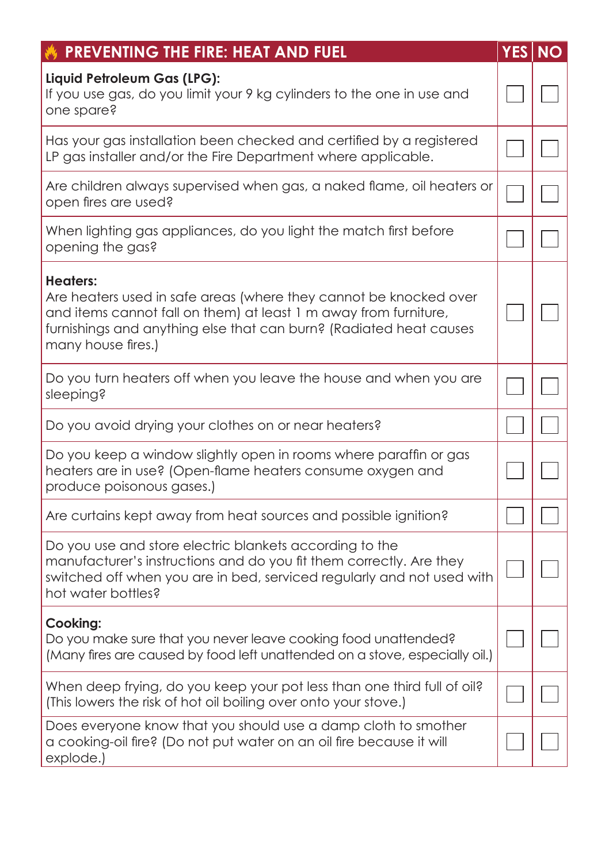| <b>PREVENTING THE FIRE: HEAT AND FUEL</b>                                                                                                                                                                                                            | YES NO |  |
|------------------------------------------------------------------------------------------------------------------------------------------------------------------------------------------------------------------------------------------------------|--------|--|
| Liquid Petroleum Gas (LPG):<br>If you use gas, do you limit your 9 kg cylinders to the one in use and<br>one spare?                                                                                                                                  |        |  |
| Has your gas installation been checked and certified by a registered<br>LP gas installer and/or the Fire Department where applicable.                                                                                                                |        |  |
| Are children always supervised when gas, a naked flame, oil heaters or<br>open fires are used?                                                                                                                                                       |        |  |
| When lighting gas appliances, do you light the match first before<br>opening the gas?                                                                                                                                                                |        |  |
| <b>Heaters:</b><br>Are heaters used in safe areas (where they cannot be knocked over<br>and items cannot fall on them) at least 1 m away from furniture,<br>furnishings and anything else that can burn? (Radiated heat causes<br>many house fires.) |        |  |
| Do you turn heaters off when you leave the house and when you are<br>sleeping?                                                                                                                                                                       |        |  |
| Do you avoid drying your clothes on or near heaters?                                                                                                                                                                                                 |        |  |
| Do you keep a window slightly open in rooms where paraffin or gas<br>heaters are in use? (Open-flame heaters consume oxygen and<br>produce poisonous gases.)                                                                                         |        |  |
| Are curtains kept away from heat sources and possible ignition?                                                                                                                                                                                      |        |  |
| Do you use and store electric blankets according to the<br>manufacturer's instructions and do you fit them correctly. Are they<br>switched off when you are in bed, serviced regularly and not used with<br>hot water bottles?                       |        |  |
| Cooking:<br>Do you make sure that you never leave cooking food unattended?<br>(Many fires are caused by food left unattended on a stove, especially oil.)                                                                                            |        |  |
| When deep frying, do you keep your pot less than one third full of oil?<br>(This lowers the risk of hot oil boiling over onto your stove.)                                                                                                           |        |  |
| Does everyone know that you should use a damp cloth to smother<br>a cooking-oil fire? (Do not put water on an oil fire because it will<br>explode.)                                                                                                  |        |  |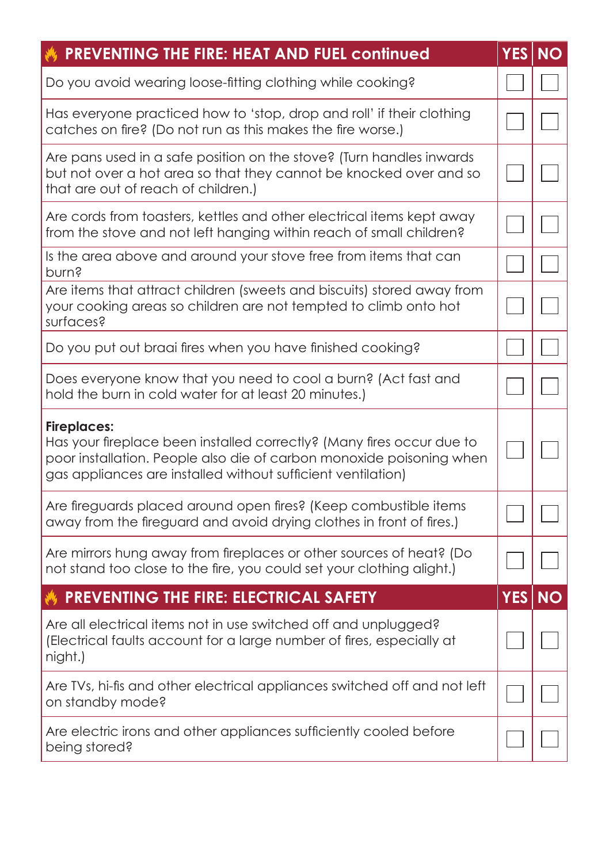| <b>PREVENTING THE FIRE: HEAT AND FUEL continued</b>                                                                                                                                                                                 | <b>YES NO</b> |           |
|-------------------------------------------------------------------------------------------------------------------------------------------------------------------------------------------------------------------------------------|---------------|-----------|
| Do you avoid wearing loose-fitting clothing while cooking?                                                                                                                                                                          |               |           |
| Has everyone practiced how to 'stop, drop and roll' if their clothing<br>catches on fire? (Do not run as this makes the fire worse.)                                                                                                |               |           |
| Are pans used in a safe position on the stove? (Turn handles inwards<br>but not over a hot area so that they cannot be knocked over and so<br>that are out of reach of children.)                                                   |               |           |
| Are cords from toasters, kettles and other electrical items kept away<br>from the stove and not left hanging within reach of small children?                                                                                        |               |           |
| Is the area above and around your stove free from items that can<br>purn?                                                                                                                                                           |               |           |
| Are items that attract children (sweets and biscuits) stored away from<br>your cooking areas so children are not tempted to climb onto hot<br>surfaces?                                                                             |               |           |
| Do you put out braai fires when you have finished cooking?                                                                                                                                                                          |               |           |
| Does everyone know that you need to cool a burn? (Act fast and<br>hold the burn in cold water for at least 20 minutes.)                                                                                                             |               |           |
| <b>Fireplaces:</b><br>Has your fireplace been installed correctly? (Many fires occur due to<br>poor installation. People also die of carbon monoxide poisoning when<br>gas appliances are installed without sufficient ventilation) |               |           |
| Are fireguards placed around open fires? (Keep combustible items<br>away from the fireguard and avoid drying clothes in front of fires.)                                                                                            |               |           |
| Are mirrors hung away from fireplaces or other sources of heat? (Do<br>not stand too close to the fire, you could set your clothing alight.)                                                                                        |               |           |
| PREVENTING THE FIRE: ELECTRICAL SAFETY<br>W.                                                                                                                                                                                        | <b>YES</b>    | <b>NO</b> |
| Are all electrical items not in use switched off and unplugged?<br>(Electrical faults account for a large number of fires, especially at<br>night.)                                                                                 |               |           |
| Are TVs, hi-fis and other electrical appliances switched off and not left<br>on standby mode?                                                                                                                                       |               |           |
| Are electric irons and other appliances sufficiently cooled before<br>being stored?                                                                                                                                                 |               |           |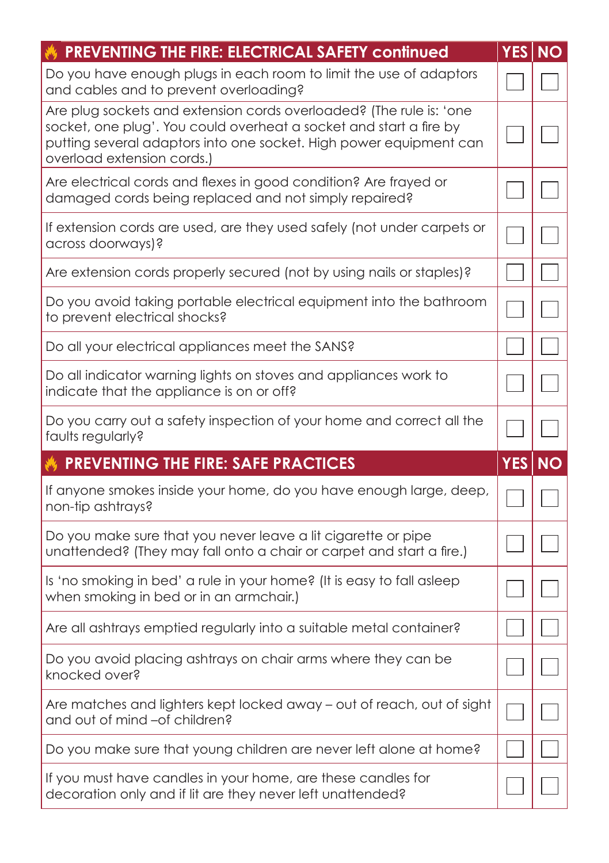| <b>PREVENTING THE FIRE: ELECTRICAL SAFETY continued</b>                                                                                                                                                                                       | <b>YES</b> | <b>NO</b> |
|-----------------------------------------------------------------------------------------------------------------------------------------------------------------------------------------------------------------------------------------------|------------|-----------|
| Do you have enough plugs in each room to limit the use of adaptors<br>and cables and to prevent overloading?                                                                                                                                  |            |           |
| Are plug sockets and extension cords overloaded? (The rule is: 'one<br>socket, one plug'. You could overheat a socket and start a fire by<br>putting several adaptors into one socket. High power equipment can<br>overload extension cords.) |            |           |
| Are electrical cords and flexes in good condition? Are frayed or<br>damaged cords being replaced and not simply repaired?                                                                                                                     |            |           |
| If extension cords are used, are they used safely (not under carpets or<br>across doorways)?                                                                                                                                                  |            |           |
| Are extension cords properly secured (not by using nails or staples)?                                                                                                                                                                         |            |           |
| Do you avoid taking portable electrical equipment into the bathroom<br>to prevent electrical shocks?                                                                                                                                          |            |           |
| Do all your electrical appliances meet the SANS?                                                                                                                                                                                              |            |           |
| Do all indicator warning lights on stoves and appliances work to<br>indicate that the appliance is on or off?                                                                                                                                 |            |           |
| Do you carry out a safety inspection of your home and correct all the                                                                                                                                                                         |            |           |
| faults regularly?                                                                                                                                                                                                                             |            |           |
| <b>PREVENTING THE FIRE: SAFE PRACTICES</b>                                                                                                                                                                                                    | <b>YES</b> | <b>NO</b> |
| If anyone smokes inside your home, do you have enough large, deep,<br>non-tip ashtrays?                                                                                                                                                       |            |           |
| Do you make sure that you never leave a lit cigarette or pipe<br>unattended? (They may fall onto a chair or carpet and start a fire.)                                                                                                         |            |           |
| Is 'no smoking in bed' a rule in your home? (It is easy to fall asleep<br>when smoking in bed or in an armchair.)                                                                                                                             |            |           |
| Are all ashtrays emptied regularly into a suitable metal container?                                                                                                                                                                           |            |           |
| Do you avoid placing ashtrays on chair arms where they can be<br>knocked over?                                                                                                                                                                |            |           |
| Are matches and lighters kept locked away - out of reach, out of sight<br>and out of mind -of children?                                                                                                                                       |            |           |
| Do you make sure that young children are never left alone at home?                                                                                                                                                                            |            |           |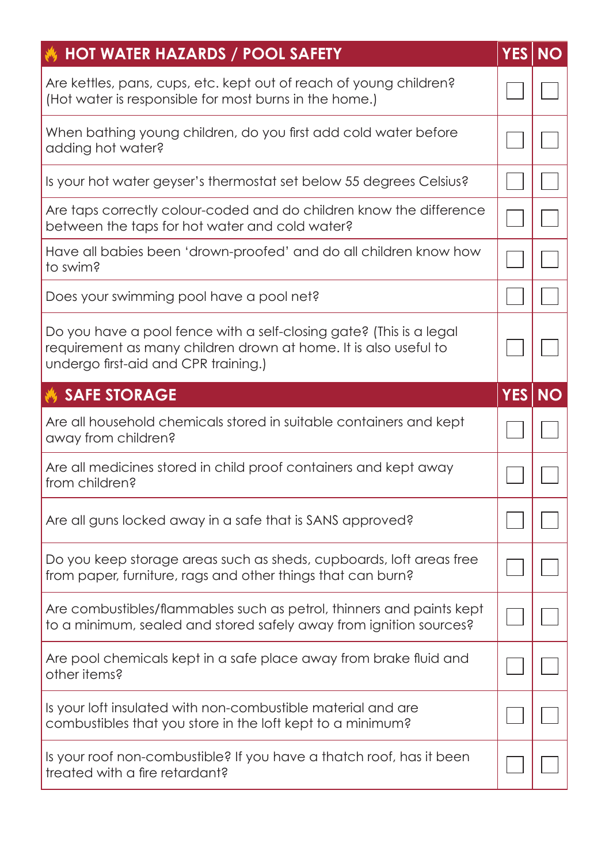| <b>HOT WATER HAZARDS / POOL SAFETY</b>                                                                                                                                          | <b>YES</b> | <b>NO</b> |
|---------------------------------------------------------------------------------------------------------------------------------------------------------------------------------|------------|-----------|
| Are kettles, pans, cups, etc. kept out of reach of young children?<br>(Hot water is responsible for most burns in the home.)                                                    |            |           |
| When bathing young children, do you first add cold water before<br>adding hot water?                                                                                            |            |           |
| Is your hot water geyser's thermostat set below 55 degrees Celsius?                                                                                                             |            |           |
| Are taps correctly colour-coded and do children know the difference<br>between the taps for hot water and cold water?                                                           |            |           |
| Have all babies been 'drown-proofed' and do all children know how<br>to swim?                                                                                                   |            |           |
| Does your swimming pool have a pool net?                                                                                                                                        |            |           |
| Do you have a pool fence with a self-closing gate? (This is a legal<br>requirement as many children drown at home. It is also useful to<br>undergo first-aid and CPR training.) |            |           |
| <b>SAFE STORAGE</b>                                                                                                                                                             | <b>YES</b> | <b>NO</b> |
|                                                                                                                                                                                 |            |           |
| Are all household chemicals stored in suitable containers and kept<br>away from children?                                                                                       |            |           |
| Are all medicines stored in child proof containers and kept away<br>from children?                                                                                              |            |           |
| Are all guns locked away in a safe that is SANS approved?                                                                                                                       |            |           |
| Do you keep storage areas such as sheds, cupboards, loft areas free<br>from paper, furniture, rags and other things that can burn?                                              |            |           |
| Are combustibles/flammables such as petrol, thinners and paints kept<br>to a minimum, sealed and stored safely away from ignition sources?                                      |            |           |
| Are pool chemicals kept in a safe place away from brake fluid and<br>other items?                                                                                               |            |           |
| Is your loft insulated with non-combustible material and are<br>combustibles that you store in the loft kept to a minimum?                                                      |            |           |